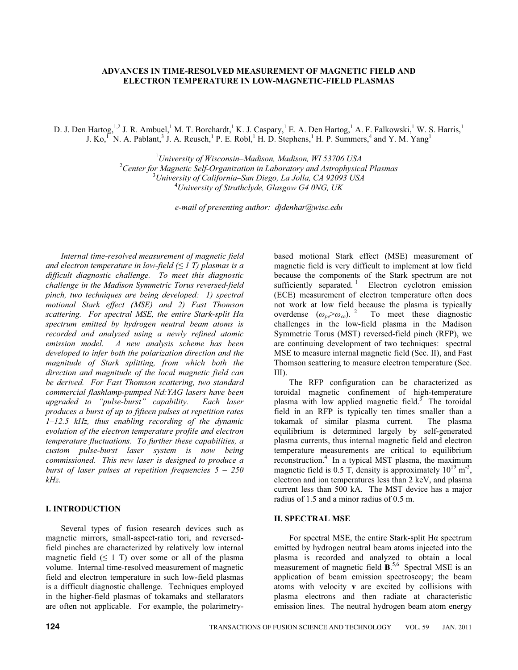# **ADVANCES IN TIME-RESOLVED MEASUREMENT OF MAGNETIC FIELD AND ELECTRON TEMPERATURE IN LOW-MAGNETIC-FIELD PLASMAS**

D. J. Den Hartog, <sup>1,2</sup> J. R. Ambuel, <sup>1</sup> M. T. Borchardt, <sup>1</sup> K. J. Caspary, <sup>1</sup> E. A. Den Hartog, <sup>1</sup> A. F. Falkowski, <sup>1</sup> W. S. Harris, <sup>1</sup> J. Ko,<sup>1</sup> N. A. Pablant,<sup>3</sup> J. A. Reusch,<sup>1</sup> P. E. Robl,<sup>1</sup> H. D. Stephens,<sup>1</sup> H. P. Summers,<sup>4</sup> and Y. M. Yang<sup>1</sup>

> <sup>1</sup>University of Wisconsin–Madison, Madison, WI 53706 USA *University of Wisconsin–Madison, Madison, WI 53706 USA* <sup>2</sup> *Center for Magnetic Self-Organization in Laboratory and Astrophysical Plasmas* <sup>3</sup> *University of California–San Diego, La Jolla, CA 92093 USA* <sup>4</sup> *University of Strathclyde, Glasgow G4 0NG, UK*

> > *e-mail of presenting author: djdenhar@wisc.edu*

*Internal time-resolved measurement of magnetic field*  and electron temperature in low-field  $(\leq 1 \text{ T})$  plasmas is a *difficult diagnostic challenge. To meet this diagnostic challenge in the Madison Symmetric Torus reversed-field pinch, two techniques are being developed: 1) spectral motional Stark effect (MSE) and 2) Fast Thomson scattering. For spectral MSE, the entire Stark-split H spectrum emitted by hydrogen neutral beam atoms is recorded and analyzed using a newly refined atomic emission model. A new analysis scheme has been developed to infer both the polarization direction and the magnitude of Stark splitting, from which both the direction and magnitude of the local magnetic field can be derived. For Fast Thomson scattering, two standard commercial flashlamp-pumped Nd:YAG lasers have been upgraded to "pulse-burst" capability. Each laser produces a burst of up to fifteen pulses at repetition rates 1–12.5 kHz, thus enabling recording of the dynamic evolution of the electron temperature profile and electron temperature fluctuations. To further these capabilities, a custom pulse-burst laser system is now being commissioned. This new laser is designed to produce a burst of laser pulses at repetition frequencies 5 – 250 kHz.*

# **I. INTRODUCTION**

Several types of fusion research devices such as magnetic mirrors, small-aspect-ratio tori, and reversedfield pinches are characterized by relatively low internal magnetic field  $( \leq 1$  T) over some or all of the plasma volume. Internal time-resolved measurement of magnetic field and electron temperature in such low-field plasmas is a difficult diagnostic challenge. Techniques employed in the higher-field plasmas of tokamaks and stellarators are often not applicable. For example, the polarimetry-

based motional Stark effect (MSE) measurement of magnetic field is very difficult to implement at low field because the components of the Stark spectrum are not sufficiently separated.<sup>1</sup> Electron cyclotron emission (ECE) measurement of electron temperature often does not work at low field because the plasma is typically overdense  $(\omega_{pe}>\omega_{ce})$ . <sup>2</sup> To meet these diagnostic challenges in the low-field plasma in the Madison Symmetric Torus (MST) reversed-field pinch (RFP), we are continuing development of two techniques: spectral MSE to measure internal magnetic field (Sec. II), and Fast Thomson scattering to measure electron temperature (Sec. III).

The RFP configuration can be characterized as toroidal magnetic confinement of high-temperature plasma with low applied magnetic field. $\overline{3}$  The toroidal field in an RFP is typically ten times smaller than a tokamak of similar plasma current. The plasma equilibrium is determined largely by self-generated plasma currents, thus internal magnetic field and electron temperature measurements are critical to equilibrium reconstruction.<sup>4</sup> In a typical MST plasma, the maximum magnetic field is 0.5 T, density is approximately  $10^{19}$  m<sup>-3</sup>, electron and ion temperatures less than 2 keV, and plasma current less than 500 kA. The MST device has a major radius of 1.5 and a minor radius of 0.5 m.

# **II. SPECTRAL MSE**

For spectral MSE, the entire Stark-split H $\alpha$  spectrum emitted by hydrogen neutral beam atoms injected into the plasma is recorded and analyzed to obtain a local measurement of magnetic field **B**.<sup>5,6</sup> Spectral MSE is an application of beam emission spectroscopy; the beam atoms with velocity **v** are excited by collisions with plasma electrons and then radiate at characteristic emission lines. The neutral hydrogen beam atom energy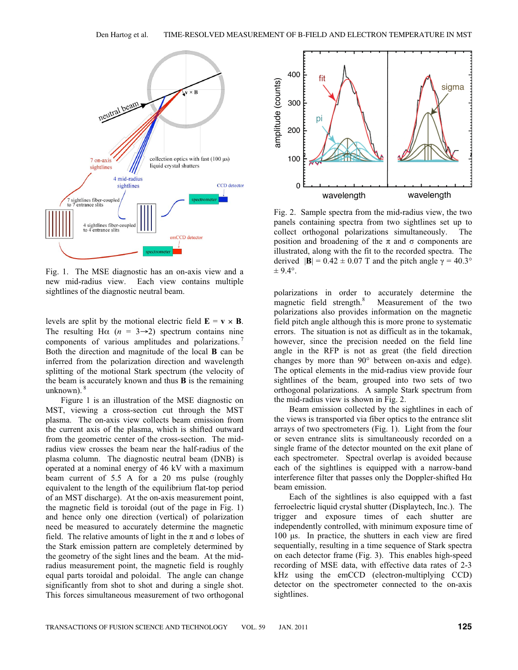

Fig. 1. The MSE diagnostic has an on-axis view and a new mid-radius view. Each view contains multiple sightlines of the diagnostic neutral beam.

levels are split by the motional electric field  $\mathbf{E} = \mathbf{v} \times \mathbf{B}$ . The resulting H $\alpha$  ( $n = 3 \rightarrow 2$ ) spectrum contains nine components of various amplitudes and polarizations.<sup>7</sup> Both the direction and magnitude of the local **B** can be inferred from the polarization direction and wavelength splitting of the motional Stark spectrum (the velocity of the beam is accurately known and thus **B** is the remaining unknown). $8$ 

Figure 1 is an illustration of the MSE diagnostic on MST, viewing a cross-section cut through the MST plasma. The on-axis view collects beam emission from the current axis of the plasma, which is shifted outward from the geometric center of the cross-section. The midradius view crosses the beam near the half-radius of the plasma column. The diagnostic neutral beam (DNB) is operated at a nominal energy of 46 kV with a maximum beam current of 5.5 A for a 20 ms pulse (roughly equivalent to the length of the equilibrium flat-top period of an MST discharge). At the on-axis measurement point, the magnetic field is toroidal (out of the page in Fig. 1) and hence only one direction (vertical) of polarization need be measured to accurately determine the magnetic field. The relative amounts of light in the  $\pi$  and  $\sigma$  lobes of the Stark emission pattern are completely determined by the geometry of the sight lines and the beam. At the midradius measurement point, the magnetic field is roughly equal parts toroidal and poloidal. The angle can change significantly from shot to shot and during a single shot. This forces simultaneous measurement of two orthogonal



Fig. 2. Sample spectra from the mid-radius view, the two panels containing spectra from two sightlines set up to collect orthogonal polarizations simultaneously. The position and broadening of the  $\pi$  and  $\sigma$  components are illustrated, along with the fit to the recorded spectra. The derived  $|\mathbf{B}| = 0.42 \pm 0.07$  T and the pitch angle  $\gamma = 40.3^{\circ}$  $\pm$  9.4°.

polarizations in order to accurately determine the magnetic field strength.<sup>8</sup> Measurement of the two polarizations also provides information on the magnetic field pitch angle although this is more prone to systematic errors. The situation is not as difficult as in the tokamak, however, since the precision needed on the field line angle in the RFP is not as great (the field direction changes by more than 90° between on-axis and edge). The optical elements in the mid-radius view provide four sightlines of the beam, grouped into two sets of two orthogonal polarizations. A sample Stark spectrum from the mid-radius view is shown in Fig. 2.

Beam emission collected by the sightlines in each of the views is transported via fiber optics to the entrance slit arrays of two spectrometers (Fig. 1). Light from the four or seven entrance slits is simultaneously recorded on a single frame of the detector mounted on the exit plane of each spectrometer. Spectral overlap is avoided because each of the sightlines is equipped with a narrow-band interference filter that passes only the Doppler-shifted  $H\alpha$ beam emission.

Each of the sightlines is also equipped with a fast ferroelectric liquid crystal shutter (Displaytech, Inc.). The trigger and exposure times of each shutter are independently controlled, with minimum exposure time of 100 μs. In practice, the shutters in each view are fired sequentially, resulting in a time sequence of Stark spectra on each detector frame (Fig. 3). This enables high-speed recording of MSE data, with effective data rates of 2-3 kHz using the emCCD (electron-multiplying CCD) detector on the spectrometer connected to the on-axis sightlines.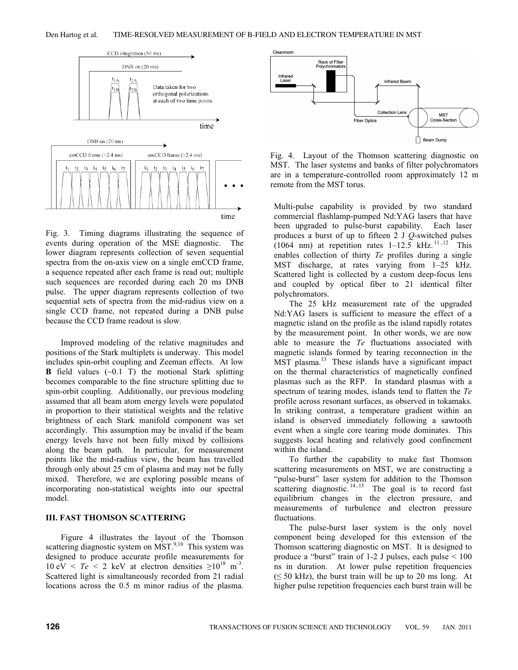#### Den Hartog et al. TIME-RESOLVED MEASUREMENT OF B-FIELD AND ELECTRON TEMPERATURE IN MST



Fig. 3. Timing diagrams illustrating the sequence of events during operation of the MSE diagnostic. The lower diagram represents collection of seven sequential spectra from the on-axis view on a single emCCD frame, a sequence repeated after each frame is read out; multiple such sequences are recorded during each 20 ms DNB pulse. The upper diagram represents collection of two sequential sets of spectra from the mid-radius view on a single CCD frame, not repeated during a DNB pulse because the CCD frame readout is slow.

Improved modeling of the relative magnitudes and positions of the Stark multiplets is underway. This model includes spin-orbit coupling and Zeeman effects. At low **B** field values  $(\sim 0.1 \text{ T})$  the motional Stark splitting becomes comparable to the fine structure splitting due to spin-orbit coupling. Additionally, our previous modeling assumed that all beam atom energy levels were populated in proportion to their statistical weights and the relative brightness of each Stark manifold component was set accordingly. This assumption may be invalid if the beam energy levels have not been fully mixed by collisions along the beam path. In particular, for measurement points like the mid-radius view, the beam has travelled through only about 25 cm of plasma and may not be fully mixed. Therefore, we are exploring possible means of incorporating non-statistical weights into our spectral model.

# **III. FAST THOMSON SCATTERING**

Figure 4 illustrates the layout of the Thomson scattering diagnostic system on  $\overline{\text{MST}}^{9,10}$ . This system was designed to produce accurate profile measurements for  $10 \text{ eV} < Te < 2 \text{ keV}$  at electron densities  $\geq 10^{18} \text{ m}^3$ . Scattered light is simultaneously recorded from 21 radial locations across the 0.5 m minor radius of the plasma.



Fig. 4. Layout of the Thomson scattering diagnostic on MST. The laser systems and banks of filter polychromators are in a temperature-controlled room approximately 12 m remote from the MST torus.

Multi-pulse capability is provided by two standard commercial flashlamp-pumped Nd:YAG lasers that have been upgraded to pulse-burst capability. Each laser produces a burst of up to fifteen 2 J *Q*-switched pulses (1064 nm) at repetition rates  $1-12.5$  kHz.  $11,12$  This enables collection of thirty *Te* profiles during a single MST discharge, at rates varying from 1–25 kHz. Scattered light is collected by a custom deep-focus lens and coupled by optical fiber to 21 identical filter polychromators.

The 25 kHz measurement rate of the upgraded Nd:YAG lasers is sufficient to measure the effect of a magnetic island on the profile as the island rapidly rotates by the measurement point. In other words, we are now able to measure the *Te* fluctuations associated with magnetic islands formed by tearing reconnection in the MST plasma.<sup>13</sup> These islands have a significant impact on the thermal characteristics of magnetically confined plasmas such as the RFP. In standard plasmas with a spectrum of tearing modes, islands tend to flatten the *Te* profile across resonant surfaces, as observed in tokamaks. In striking contrast, a temperature gradient within an island is observed immediately following a sawtooth event when a single core tearing mode dominates. This suggests local heating and relatively good confinement within the island.

To further the capability to make fast Thomson scattering measurements on MST, we are constructing a "pulse-burst" laser system for addition to the Thomson scattering diagnostic.  $14, 15$  The goal is to record fast equilibrium changes in the electron pressure, and measurements of turbulence and electron pressure fluctuations.

The pulse-burst laser system is the only novel component being developed for this extension of the Thomson scattering diagnostic on MST. It is designed to produce a "burst" train of 1-2 J pulses, each pulse < 100 ns in duration. At lower pulse repetition frequencies  $(\leq 50 \text{ kHz})$ , the burst train will be up to 20 ms long. At higher pulse repetition frequencies each burst train will be